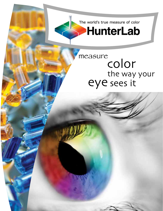The world's true measure of color

## **HunterLab**

# measure<br>COlOr the way your eye sees it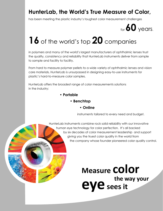### **HunterLab, the World's True Measure of Color,**

has been meeting the plastic industry's toughest color measurement challenges

for **60** years.

### **16** of the world's top **20** companies

in polymers and many of the world's largest manufacturers of ophthalmic lenses trust the quality, consistency and reliability that HunterLab instruments deliver from sample to sample and facility to facility.

From hard to measure polymer pellets to a wide variety of ophthalmic lenses and vision care materials, HunterLab is unsurpassed in designing easy-to-use instruments for plastic's hard-to-measure color samples.

HunterLab offers the broadest range of color measurements solutions in the industry:

- **Portable** 
	- **Benchtop** 
		- **Online**

instruments tailored to every need and budget.

 HunterLab instruments combine rock solid reliability with our innovative human eye technology for color perfection. It's all backed by six decades of color measurement leadership and support giving you the truest color quality in the world from the company whose founder pioneered color quality control.

> **Measure color eye sees it the way your**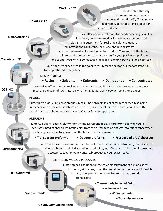#### **MiniScan® EZ**

**ColorFlex® EZ**

**ColorQuest® XE**

**D25® NC**

**ColorQuest® XT**

**UltraScan® PRO**

**UltraScan® VIS**

 HunterLab is the only color measurement company in the world to offer  $45^{\circ}/0^{\circ}$  technology in portable, bench-top, and production in-line products.

 We offer portable solutions for handy sampling flexibility, laboratory bench-top models for any measurement need, plus in-line equipment for real-time color evaluation. All provide the consistency, accuracy, and reliability that are the trademarks of every HunterLab product. You can trust HunterLab to help select the correct instrument solution for your particular application and support you with knowledgeable, responsive teams, both pre- and post- sale.

 Our extensive experience in the color measurement applications that are important to the plastic industry include:

 **RAW MATERIALS**

 **• Resins • Solvents • Colorants • Compounds • Concentrates**

 HunterLab offers a complete line of products and sampling accessories proven to accurately measure the color of raw materials whether in liquid, slurry, powder, solids, or plaques.

#### **PELLETS**

 HunterLab's products excel at precisely measuring polymers in pellet form, whether in shipping containers with a portable, in lab with a bench-top instrument, or on the production line with an in-line spectrophotometer specially configures for your application.

#### **PREFORMS**

 HunterLab offers specific solutions for the measurement of plastic preforms, allowing you to accurately predict final blown bottle color from the preform color, and get into target range when switching over a line to a new color. HunterLab products measure:

**• Transparent preforms • Opaque preforms • Presence of a UV absorber**

 All three types of measurement can be performed by the same instrument, demonstration HunterLab's unparalleled versatility. In addition, we offer a large selection of instrument accessories to tailor your HunterLab product to your exact needs.

#### **EXTRUDED/MOLDED PRODUCTS**

 HunterLab has a solution for the color measurement of film and sheet in the lab, at the line, or on the line. Whether the product is flexible or rigid, transparent or opaque, HunterLab has a solution to measure: 

- **Transmitted/Reflected Color**
	- **Yellowness Index**
		- **Whiteness Index** 
			- **Transmission Haze**

**SpectraTrend® HT**

**ColorQuest® Online Haze**